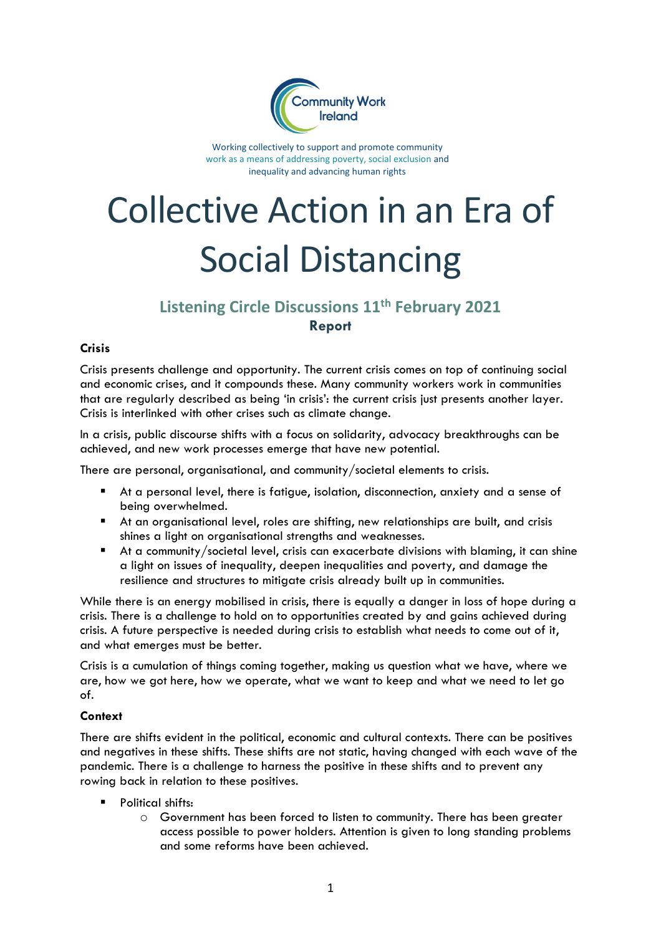

Working collectively to support and promote community work as a means of addressing poverty, social exclusion and inequality and advancing human rights

# Collective Action in an Era of Social Distancing

# **Listening Circle Discussions 11th February 2021 Report**

## **Crisis**

Crisis presents challenge and opportunity. The current crisis comes on top of continuing social and economic crises, and it compounds these. Many community workers work in communities that are regularly described as being 'in crisis': the current crisis just presents another layer. Crisis is interlinked with other crises such as climate change.

In a crisis, public discourse shifts with a focus on solidarity, advocacy breakthroughs can be achieved, and new work processes emerge that have new potential.

There are personal, organisational, and community/societal elements to crisis.

- At a personal level, there is fatigue, isolation, disconnection, anxiety and a sense of being overwhelmed.
- At an organisational level, roles are shifting, new relationships are built, and crisis shines a light on organisational strengths and weaknesses.
- At a community/societal level, crisis can exacerbate divisions with blaming, it can shine a light on issues of inequality, deepen inequalities and poverty, and damage the resilience and structures to mitigate crisis already built up in communities.

While there is an energy mobilised in crisis, there is equally a danger in loss of hope during a crisis. There is a challenge to hold on to opportunities created by and gains achieved during crisis. A future perspective is needed during crisis to establish what needs to come out of it, and what emerges must be better.

Crisis is a cumulation of things coming together, making us question what we have, where we are, how we got here, how we operate, what we want to keep and what we need to let go of.

### **Context**

There are shifts evident in the political, economic and cultural contexts. There can be positives and negatives in these shifts. These shifts are not static, having changed with each wave of the pandemic. There is a challenge to harness the positive in these shifts and to prevent any rowing back in relation to these positives.

- Political shifts:
	- o Government has been forced to listen to community. There has been greater access possible to power holders. Attention is given to long standing problems and some reforms have been achieved.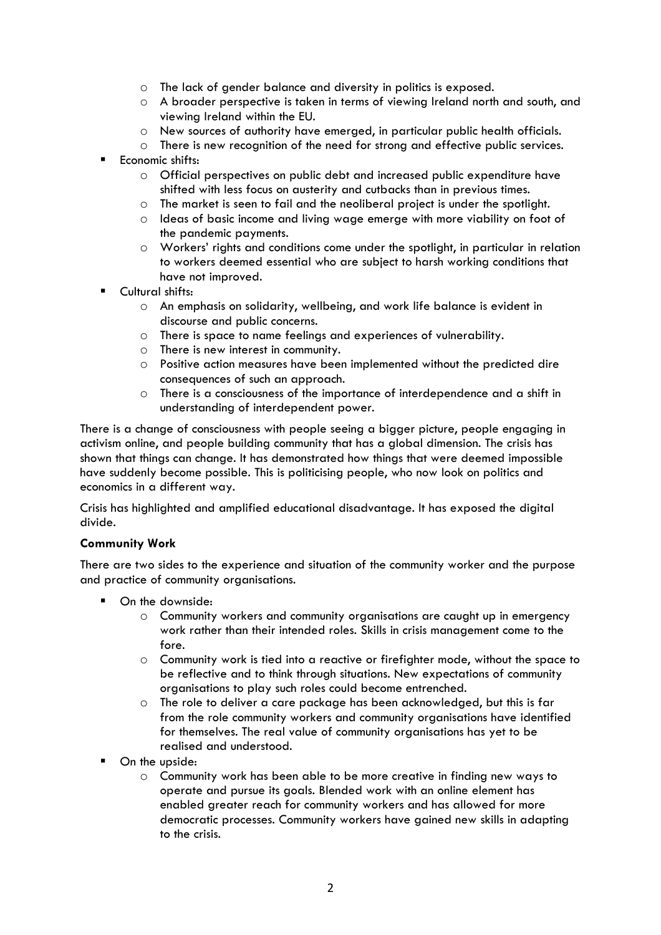- o The lack of gender balance and diversity in politics is exposed.
- o A broader perspective is taken in terms of viewing Ireland north and south, and viewing Ireland within the EU.
- o New sources of authority have emerged, in particular public health officials.
- o There is new recognition of the need for strong and effective public services.
- Economic shifts:
	- o Official perspectives on public debt and increased public expenditure have shifted with less focus on austerity and cutbacks than in previous times.
	- o The market is seen to fail and the neoliberal project is under the spotlight.
	- o Ideas of basic income and living wage emerge with more viability on foot of the pandemic payments.
	- o Workers' rights and conditions come under the spotlight, in particular in relation to workers deemed essential who are subject to harsh working conditions that have not improved.
- Cultural shifts:
	- o An emphasis on solidarity, wellbeing, and work life balance is evident in discourse and public concerns.
	- o There is space to name feelings and experiences of vulnerability.
	- o There is new interest in community.
	- o Positive action measures have been implemented without the predicted dire consequences of such an approach.
	- o There is a consciousness of the importance of interdependence and a shift in understanding of interdependent power.

There is a change of consciousness with people seeing a bigger picture, people engaging in activism online, and people building community that has a global dimension. The crisis has shown that things can change. It has demonstrated how things that were deemed impossible have suddenly become possible. This is politicising people, who now look on politics and economics in a different way.

Crisis has highlighted and amplified educational disadvantage. It has exposed the digital divide.

### **Community Work**

There are two sides to the experience and situation of the community worker and the purpose and practice of community organisations.

- On the downside:
	- o Community workers and community organisations are caught up in emergency work rather than their intended roles. Skills in crisis management come to the fore.
	- o Community work is tied into a reactive or firefighter mode, without the space to be reflective and to think through situations. New expectations of community organisations to play such roles could become entrenched.
	- o The role to deliver a care package has been acknowledged, but this is far from the role community workers and community organisations have identified for themselves. The real value of community organisations has yet to be realised and understood.
- On the upside:
	- o Community work has been able to be more creative in finding new ways to operate and pursue its goals. Blended work with an online element has enabled greater reach for community workers and has allowed for more democratic processes. Community workers have gained new skills in adapting to the crisis.